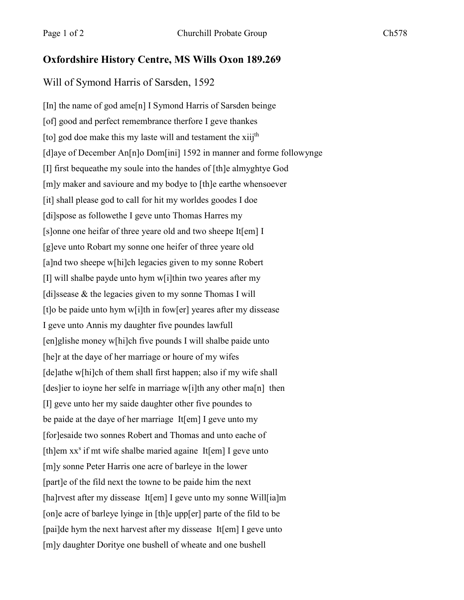## **Oxfordshire History Centre, MS Wills Oxon 189.269**

## Will of Symond Harris of Sarsden, 1592

[In] the name of god ame[n] I Symond Harris of Sarsden beinge [of] good and perfect remembrance therfore I geve thankes [to] god doe make this my laste will and testament the xiij<sup>th</sup> [d]aye of December An[n]o Dom[ini] 1592 in manner and forme followynge [I] first bequeathe my soule into the handes of [th]e almyghtye God [m]y maker and savioure and my bodye to [th]e earthe whensoever [it] shall please god to call for hit my worldes goodes I doe [di]spose as followethe I geve unto Thomas Harres my [s]onne one heifar of three yeare old and two sheepe It[em] I [g]eve unto Robart my sonne one heifer of three yeare old [a]nd two sheepe w[hi]ch legacies given to my sonne Robert [I] will shalbe payde unto hym w[i]thin two yeares after my [di]ssease & the legacies given to my sonne Thomas I will [t]o be paide unto hym w[i]th in fow[er] yeares after my dissease I geve unto Annis my daughter five poundes lawfull [en]glishe money w[hi]ch five pounds I will shalbe paide unto [he]r at the daye of her marriage or houre of my wifes [de]athe w[hi]ch of them shall first happen; also if my wife shall [des]ier to ioyne her selfe in marriage w[i]th any other ma[n] then [I] geve unto her my saide daughter other five poundes to be paide at the daye of her marriage It[em] I geve unto my [for]esaide two sonnes Robert and Thomas and unto eache of [th]em  $xx^s$  if mt wife shalbe maried againe It[em] I geve unto [m]y sonne Peter Harris one acre of barleye in the lower [part]e of the fild next the towne to be paide him the next [ha]rvest after my dissease It[em] I geve unto my sonne Will[ia]m [on]e acre of barleye lyinge in [th]e upp[er] parte of the fild to be [pai]de hym the next harvest after my dissease It[em] I geve unto [m]y daughter Doritye one bushell of wheate and one bushell